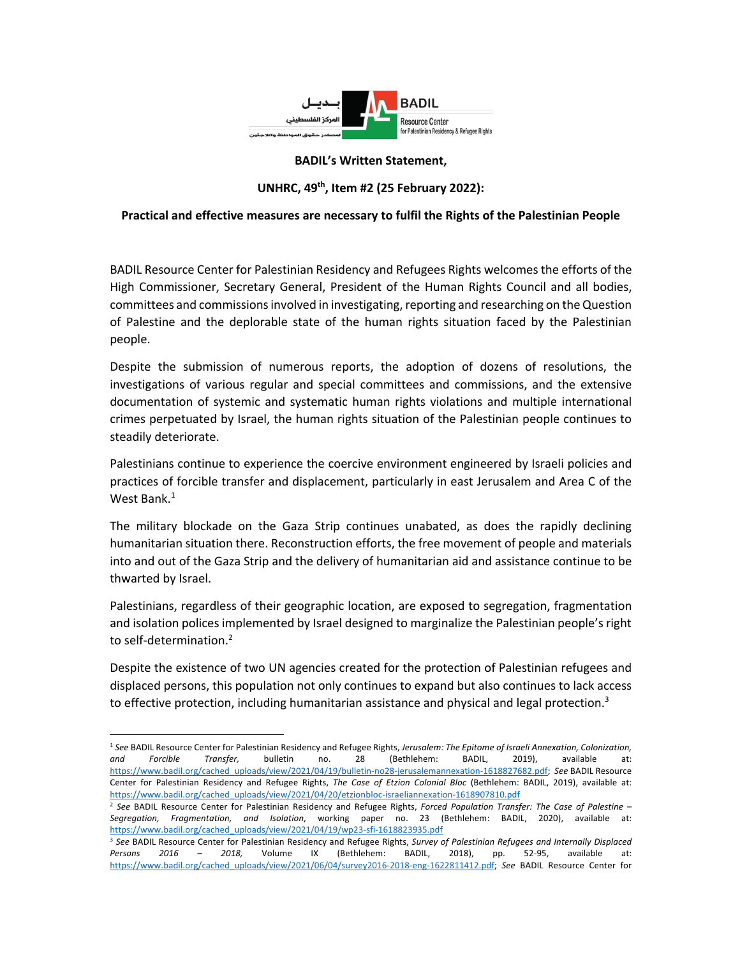

## **BADIL's Written Statement,**

## **UNHRC, 49th, Item #2 (25 February 2022):**

## **Practical and effective measures are necessary to fulfil the Rights of the Palestinian People**

BADIL Resource Center for Palestinian Residency and Refugees Rights welcomes the efforts of the High Commissioner, Secretary General, President of the Human Rights Council and all bodies, committees and commissions involved in investigating, reporting and researching on the Question of Palestine and the deplorable state of the human rights situation faced by the Palestinian people.

Despite the submission of numerous reports, the adoption of dozens of resolutions, the investigations of various regular and special committees and commissions, and the extensive documentation of systemic and systematic human rights violations and multiple international crimes perpetuated by Israel, the human rights situation of the Palestinian people continues to steadily deteriorate.

Palestinians continue to experience the coercive environment engineered by Israeli policies and practices of forcible transfer and displacement, particularly in east Jerusalem and Area C of the West Bank. $<sup>1</sup>$ </sup>

The military blockade on the Gaza Strip continues unabated, as does the rapidly declining humanitarian situation there. Reconstruction efforts, the free movement of people and materials into and out of the Gaza Strip and the delivery of humanitarian aid and assistance continue to be thwarted by Israel.

Palestinians, regardless of their geographic location, are exposed to segregation, fragmentation and isolation polices implemented by Israel designed to marginalize the Palestinian people's right to self-determination.<sup>2</sup>

Despite the existence of two UN agencies created for the protection of Palestinian refugees and displaced persons, this population not only continues to expand but also continues to lack access to effective protection, including humanitarian assistance and physical and legal protection.<sup>3</sup>

<sup>1</sup> *See* BADIL Resource Center for Palestinian Residency and Refugee Rights, *Jerusalem: The Epitome of Israeli Annexation, Colonization, and Forcible Transfer,* bulletin no. 28 (Bethlehem: BADIL, 2019), available at: https://www.badil.org/cached\_uploads/view/2021/04/19/bulletin-no28-jerusalemannexation-1618827682.pdf; *See* BADIL Resource Center for Palestinian Residency and Refugee Rights, *The Case of Etzion Colonial Bloc* (Bethlehem: BADIL, 2019), available at: https://www.badil.org/cached\_uploads/view/2021/04/20/etzionbloc-israeliannexation-1618907810.pdf

<sup>2</sup> *See* BADIL Resource Center for Palestinian Residency and Refugee Rights, *Forced Population Transfer: The Case of Palestine – Segregation, Fragmentation, and Isolation*, working paper no. 23 (Bethlehem: BADIL, 2020), available at: https://www.badil.org/cached\_uploads/view/2021/04/19/wp23-sfi-1618823935.pdf

<sup>3</sup> *See* BADIL Resource Center for Palestinian Residency and Refugee Rights, *Survey of Palestinian Refugees and Internally Displaced Persons 2016 – 2018,* Volume IX (Bethlehem: BADIL, 2018), pp. 52-95, available at: https://www.badil.org/cached\_uploads/view/2021/06/04/survey2016-2018-eng-1622811412.pdf; *See* BADIL Resource Center for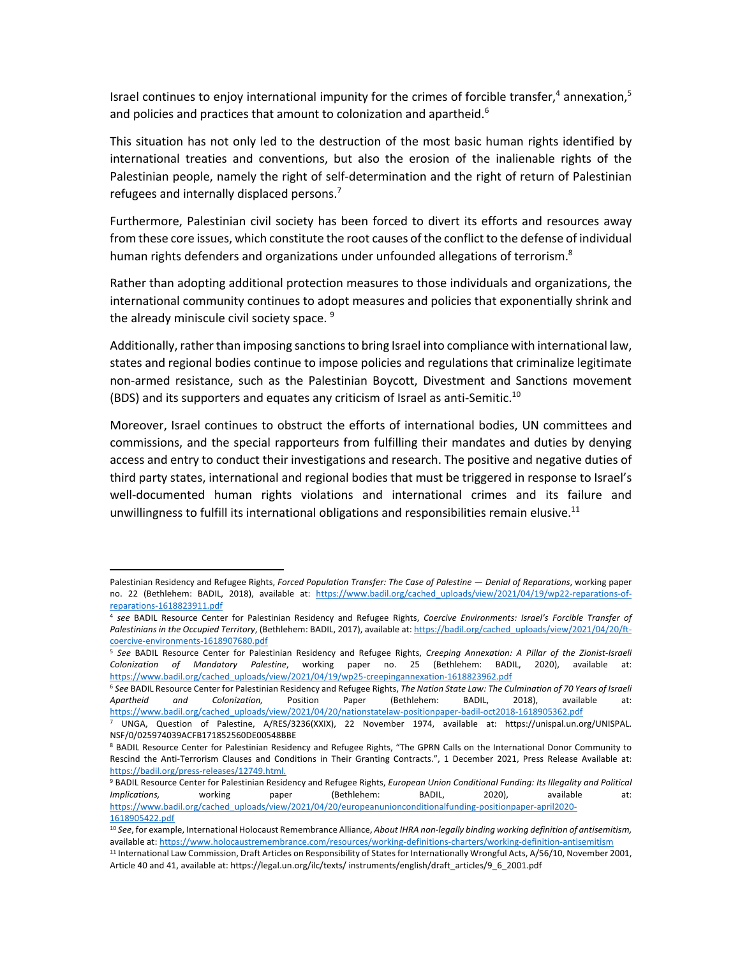Israel continues to enjoy international impunity for the crimes of forcible transfer,<sup>4</sup> annexation,<sup>5</sup> and policies and practices that amount to colonization and apartheid.<sup>6</sup>

This situation has not only led to the destruction of the most basic human rights identified by international treaties and conventions, but also the erosion of the inalienable rights of the Palestinian people, namely the right of self-determination and the right of return of Palestinian refugees and internally displaced persons.<sup>7</sup>

Furthermore, Palestinian civil society has been forced to divert its efforts and resources away from these core issues, which constitute the root causes of the conflict to the defense of individual human rights defenders and organizations under unfounded allegations of terrorism.<sup>8</sup>

Rather than adopting additional protection measures to those individuals and organizations, the international community continues to adopt measures and policies that exponentially shrink and the already miniscule civil society space.<sup>9</sup>

Additionally, rather than imposing sanctions to bring Israel into compliance with international law, states and regional bodies continue to impose policies and regulations that criminalize legitimate non-armed resistance, such as the Palestinian Boycott, Divestment and Sanctions movement (BDS) and its supporters and equates any criticism of Israel as anti-Semitic.10

Moreover, Israel continues to obstruct the efforts of international bodies, UN committees and commissions, and the special rapporteurs from fulfilling their mandates and duties by denying access and entry to conduct their investigations and research. The positive and negative duties of third party states, international and regional bodies that must be triggered in response to Israel's well-documented human rights violations and international crimes and its failure and unwillingness to fulfill its international obligations and responsibilities remain elusive.<sup>11</sup>

Palestinian Residency and Refugee Rights, *Forced Population Transfer: The Case of Palestine — Denial of Reparations*, working paper no. 22 (Bethlehem: BADIL, 2018), available at: https://www.badil.org/cached\_uploads/view/2021/04/19/wp22-reparations-ofreparations-1618823911.pdf

<sup>4</sup> *see* BADIL Resource Center for Palestinian Residency and Refugee Rights, *Coercive Environments: Israel's Forcible Transfer of Palestinians in the Occupied Territory*, (Bethlehem: BADIL, 2017), available at: https://badil.org/cached\_uploads/view/2021/04/20/ftcoercive-environments-1618907680.pdf

<sup>5</sup> *See* BADIL Resource Center for Palestinian Residency and Refugee Rights, *Creeping Annexation: A Pillar of the Zionist-Israeli Colonization of Mandatory Palestine*, working paper no. 25 (Bethlehem: BADIL, 2020), available at: https://www.badil.org/cached\_uploads/view/2021/04/19/wp25-creepingannexation-1618823962.pdf

<sup>6</sup> *See* BADIL Resource Center for Palestinian Residency and Refugee Rights, *The Nation State Law: The Culmination of 70 Years of Israeli Apartheid and Colonization,* Position Paper (Bethlehem: BADIL, 2018), available at: https://www.badil.org/cached\_uploads/view/2021/04/20/nationstatelaw-positionpaper-badil-oct2018-1618905362.pdf

<sup>7</sup> UNGA, Question of Palestine, A/RES/3236(XXIX), 22 November 1974, available at: https://unispal.un.org/UNISPAL. NSF/0/025974039ACFB171852560DE00548BBE

<sup>8</sup> BADIL Resource Center for Palestinian Residency and Refugee Rights, "The GPRN Calls on the International Donor Community to Rescind the Anti-Terrorism Clauses and Conditions in Their Granting Contracts.", 1 December 2021, Press Release Available at: https://badil.org/press-releases/12749.html.

<sup>9</sup> BADIL Resource Center for Palestinian Residency and Refugee Rights, *European Union Conditional Funding: Its Illegality and Political Implications,* working paper (Bethlehem: BADIL, 2020), available at: https://www.badil.org/cached\_uploads/view/2021/04/20/europeanunionconditionalfunding-positionpaper-april2020- 1618905422.pdf

<sup>10</sup> *See*, for example, International Holocaust Remembrance Alliance, *About IHRA non-legally binding working definition of antisemitism,*  available at: https://www.holocaustremembrance.com/resources/working-definitions-charters/working-definition-antisemitism

<sup>&</sup>lt;sup>11</sup> International Law Commission, Draft Articles on Responsibility of States for Internationally Wrongful Acts, A/56/10, November 2001, Article 40 and 41, available at: https://legal.un.org/ilc/texts/ instruments/english/draft\_articles/9\_6\_2001.pdf